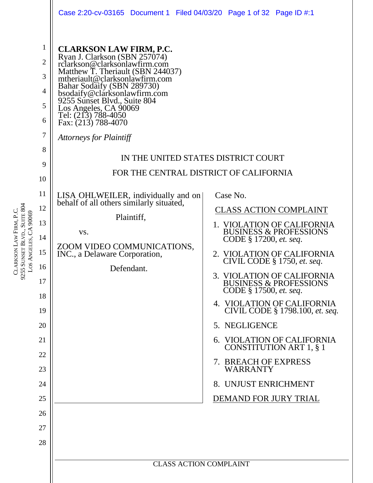|                                                                                                                                                                                                                           |                                                                                                                                                                                                                                                                                                                                                                                                                                                                                                                                                                     | Case 2:20-cv-03165 Document 1 Filed 04/03/20 Page 1 of 32 Page ID #:1                                                                                                                                                                                                                                                                                                                                                                                                                                                                                                                                                             |
|---------------------------------------------------------------------------------------------------------------------------------------------------------------------------------------------------------------------------|---------------------------------------------------------------------------------------------------------------------------------------------------------------------------------------------------------------------------------------------------------------------------------------------------------------------------------------------------------------------------------------------------------------------------------------------------------------------------------------------------------------------------------------------------------------------|-----------------------------------------------------------------------------------------------------------------------------------------------------------------------------------------------------------------------------------------------------------------------------------------------------------------------------------------------------------------------------------------------------------------------------------------------------------------------------------------------------------------------------------------------------------------------------------------------------------------------------------|
| $\mathbf{1}$<br>$\overline{2}$<br>3<br>4<br>5<br>6<br>$\overline{7}$<br>8<br>9<br>10<br>11<br>12<br>Los Angeles, CA 90069<br>13<br>14<br>15<br>16<br>17<br>18<br>19<br>20<br>21<br>22<br>23<br>24<br>25<br>26<br>27<br>28 | <b>CLARKSON LAW FIRM, P.C.</b><br>Ryan J. Clarkson (SBN 257074)<br>rclarkson@clarksonlawfirm.com<br>Matthew T. Theriault (SBN 244037)<br>mtheriault@clarksonlawfirm.com<br>Bahar Sodaify (SBN 289730)<br>bsodaify@clarksonlawfirm.com<br>9255 Sunset Blvd., Suite 804<br>Los Angeles, CA 90069<br>Tel: (213) 788-4050<br>Fax: (213) 788-4070<br><b>Attorneys for Plaintiff</b><br>LISA OHLWEILER, individually and on<br>behalf of all others similarly situated,<br>Plaintiff,<br>VS.<br>ZOOM VIDEO COMMUNICATIONS,<br>INC., a Delaware Corporation,<br>Defendant. | IN THE UNITED STATES DISTRICT COURT<br>FOR THE CENTRAL DISTRICT OF CALIFORNIA<br>Case No.<br><b>CLASS ACTION COMPLAINT</b><br>1. VIOLATION OF CALIFORNIA<br><b>BUSINESS &amp; PROFESSIONS</b><br>CODE § 17200, et. seq.<br>2. VIOLATION OF CALIFORNIA<br>CIVIL CODE $§$ 1750, et. seq.<br>3. VIOLATION OF CALIFORNIA<br><b>BUSINESS &amp; PROFESSIONS</b><br>CODE § 17500, et. seq.<br>4. VIOLATION OF CALIFORNIA<br>CIVIL CODE § 1798.100, et. seq.<br>5. NEGLIGENCE<br>6. VIOLATION OF CALIFORNIA<br><b>CONSTITUTION ART 1, § 1</b><br>7. BREACH OF EXPRESS<br><b>WARRANTY</b><br>8. UNJUST ENRICHMENT<br>DEMAND FOR JURY TRIAL |
|                                                                                                                                                                                                                           |                                                                                                                                                                                                                                                                                                                                                                                                                                                                                                                                                                     | <b>CLASS ACTION COMPLAINT</b>                                                                                                                                                                                                                                                                                                                                                                                                                                                                                                                                                                                                     |

CLARKSON

9255 SUNSET

BLVD., SUITE 804

LAW

FIRM, P.C.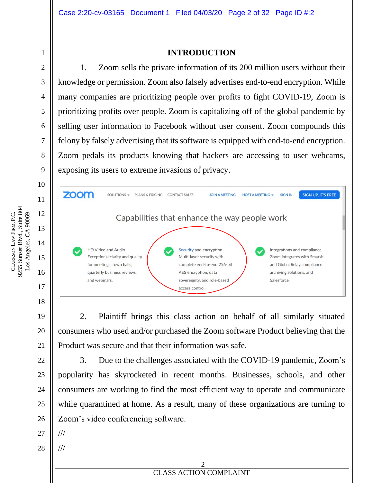#### **INTRODUCTION**

1. Zoom sells the private information of its 200 million users without their knowledge or permission. Zoom also falsely advertises end-to-end encryption. While many companies are prioritizing people over profits to fight COVID-19, Zoom is prioritizing profits over people. Zoom is capitalizing off of the global pandemic by selling user information to Facebook without user consent. Zoom compounds this felony by falsely advertising that its software is equipped with end-to-end encryption. Zoom pedals its products knowing that hackers are accessing to user webcams, exposing its users to extreme invasions of privacy.



2. Plaintiff brings this class action on behalf of all similarly situated consumers who used and/or purchased the Zoom software Product believing that the Product was secure and that their information was safe.

3. Due to the challenges associated with the COVID-19 pandemic, Zoom's popularity has skyrocketed in recent months. Businesses, schools, and other consumers are working to find the most efficient way to operate and communicate while quarantined at home. As a result, many of these organizations are turning to Zoom's video conferencing software.

27 ///

///

28

9255 Sunset Blvd., Suite 804 Los Angeles, CA 90069 FIRM, P.C. Los Angeles, CA 90069 LAW CLARKSON

1

2

3

4

5

6

7

8

9

10

11

12

13

14

15

16

17

18

19

20

21

22

23

24

25

26

**EXECUTE DOCUMENT PROPERTY NAMED IN COMPLAINT** 2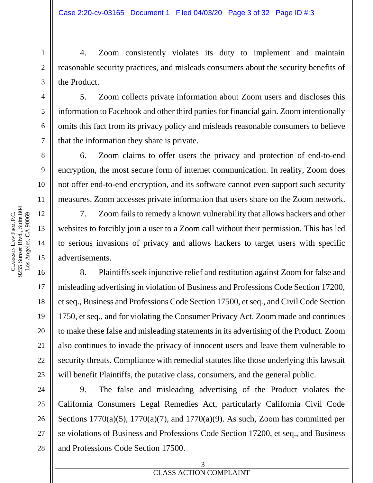4. Zoom consistently violates its duty to implement and maintain reasonable security practices, and misleads consumers about the security benefits of the Product.

5. Zoom collects private information about Zoom users and discloses this information to Facebook and other third parties for financial gain. Zoom intentionally omits this fact from its privacy policy and misleads reasonable consumers to believe that the information they share is private.

6. Zoom claims to offer users the privacy and protection of end-to-end encryption, the most secure form of internet communication. In reality, Zoom does not offer end-to-end encryption, and its software cannot even support such security measures. Zoom accesses private information that users share on the Zoom network.

7. Zoom fails to remedy a known vulnerability that allows hackers and other websites to forcibly join a user to a Zoom call without their permission. This has led to serious invasions of privacy and allows hackers to target users with specific advertisements.

8. Plaintiffs seek injunctive relief and restitution against Zoom for false and misleading advertising in violation of Business and Professions Code Section 17200, et seq., Business and Professions Code Section 17500, et seq., and Civil Code Section 1750, et seq., and for violating the Consumer Privacy Act. Zoom made and continues to make these false and misleading statements in its advertising of the Product. Zoom also continues to invade the privacy of innocent users and leave them vulnerable to security threats. Compliance with remedial statutes like those underlying this lawsuit will benefit Plaintiffs, the putative class, consumers, and the general public.

9. The false and misleading advertising of the Product violates the California Consumers Legal Remedies Act, particularly California Civil Code Sections  $1770(a)(5)$ ,  $1770(a)(7)$ , and  $1770(a)(9)$ . As such, Zoom has committed per se violations of Business and Professions Code Section 17200, et seq., and Business and Professions Code Section 17500.

1

2

3

4

5

6

7

8

9

10

11

12

13

14

15

16

17

18

19

20

21

22

23

24

25

26

27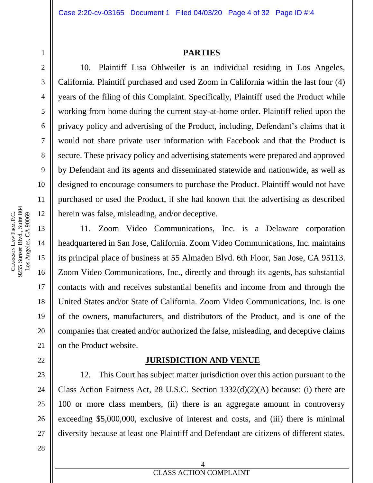#### **PARTIES**

10. Plaintiff Lisa Ohlweiler is an individual residing in Los Angeles, California. Plaintiff purchased and used Zoom in California within the last four (4) years of the filing of this Complaint. Specifically, Plaintiff used the Product while working from home during the current stay-at-home order. Plaintiff relied upon the privacy policy and advertising of the Product, including, Defendant's claims that it would not share private user information with Facebook and that the Product is secure. These privacy policy and advertising statements were prepared and approved by Defendant and its agents and disseminated statewide and nationwide, as well as designed to encourage consumers to purchase the Product. Plaintiff would not have purchased or used the Product, if she had known that the advertising as described herein was false, misleading, and/or deceptive.

11. Zoom Video Communications, Inc. is a Delaware corporation headquartered in San Jose, California. Zoom Video Communications, Inc. maintains its principal place of business at 55 Almaden Blvd. 6th Floor, San Jose, CA 95113. Zoom Video Communications, Inc., directly and through its agents, has substantial contacts with and receives substantial benefits and income from and through the United States and/or State of California. Zoom Video Communications, Inc. is one of the owners, manufacturers, and distributors of the Product, and is one of the companies that created and/or authorized the false, misleading, and deceptive claims on the Product website.

#### **JURISDICTION AND VENUE**

12. This Court has subject matter jurisdiction over this action pursuant to the Class Action Fairness Act, 28 U.S.C. Section 1332(d)(2)(A) because: (i) there are 100 or more class members, (ii) there is an aggregate amount in controversy exceeding \$5,000,000, exclusive of interest and costs, and (iii) there is minimal diversity because at least one Plaintiff and Defendant are citizens of different states.

1

2

3

4

5

6

7

8

9

10

11

12

13

14

15

16

17

18

19

20

21

22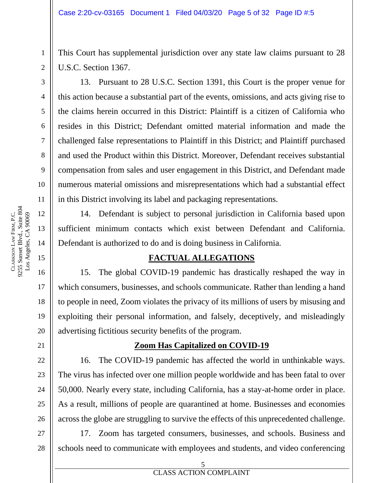This Court has supplemental jurisdiction over any state law claims pursuant to 28 U.S.C. Section 1367.

13. Pursuant to 28 U.S.C. Section 1391, this Court is the proper venue for this action because a substantial part of the events, omissions, and acts giving rise to the claims herein occurred in this District: Plaintiff is a citizen of California who resides in this District; Defendant omitted material information and made the challenged false representations to Plaintiff in this District; and Plaintiff purchased and used the Product within this District. Moreover, Defendant receives substantial compensation from sales and user engagement in this District, and Defendant made numerous material omissions and misrepresentations which had a substantial effect in this District involving its label and packaging representations.

14. Defendant is subject to personal jurisdiction in California based upon sufficient minimum contacts which exist between Defendant and California. Defendant is authorized to do and is doing business in California.

#### **FACTUAL ALLEGATIONS**

15. The global COVID-19 pandemic has drastically reshaped the way in which consumers, businesses, and schools communicate. Rather than lending a hand to people in need, Zoom violates the privacy of its millions of users by misusing and exploiting their personal information, and falsely, deceptively, and misleadingly advertising fictitious security benefits of the program.

#### **Zoom Has Capitalized on COVID-19**

16. The COVID-19 pandemic has affected the world in unthinkable ways. The virus has infected over one million people worldwide and has been fatal to over 50,000. Nearly every state, including California, has a stay-at-home order in place. As a result, millions of people are quarantined at home. Businesses and economies across the globe are struggling to survive the effects of this unprecedented challenge.

17. Zoom has targeted consumers, businesses, and schools. Business and schools need to communicate with employees and students, and video conferencing

1

2

3

4

5

6

7

8

9

10

11

12

13

14

15

16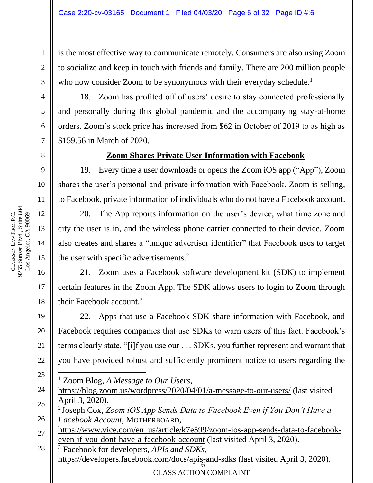is the most effective way to communicate remotely. Consumers are also using Zoom to socialize and keep in touch with friends and family. There are 200 million people who now consider Zoom to be synonymous with their everyday schedule.<sup>1</sup>

18. Zoom has profited off of users' desire to stay connected professionally and personally during this global pandemic and the accompanying stay-at-home orders. Zoom's stock price has increased from \$62 in October of 2019 to as high as \$159.56 in March of 2020.

#### **Zoom Shares Private User Information with Facebook**

19. Every time a user downloads or opens the Zoom iOS app ("App"), Zoom shares the user's personal and private information with Facebook. Zoom is selling, to Facebook, private information of individuals who do not have a Facebook account.

20. The App reports information on the user's device, what time zone and city the user is in, and the wireless phone carrier connected to their device. Zoom also creates and shares a "unique advertiser identifier" that Facebook uses to target the user with specific advertisements.<sup>2</sup>

21. Zoom uses a Facebook software development kit (SDK) to implement certain features in the Zoom App. The SDK allows users to login to Zoom through their Facebook account.<sup>3</sup>

22. Apps that use a Facebook SDK share information with Facebook, and Facebook requires companies that use SDKs to warn users of this fact. Facebook's terms clearly state, "[i]f you use our . . . SDKs, you further represent and warrant that you have provided robust and sufficiently prominent notice to users regarding the

- <sup>1</sup> Zoom Blog, *A Message to Our Users*,
- 24 25 https://blog.zoom.us/wordpress/2020/04/01/a-message-to-our-users/ (last visited April 3, 2020).

28 https://developers.facebook.com/docs/apis-and-sdks (last visited April 3, 2020). <sup>3</sup> Facebook for developers, *APIs and SDKs*,

1

2

3

4

5

6

7

8

9

10

11

16

17

18

19

20

21

22

<sup>26</sup> 2 Joseph Cox, *Zoom iOS App Sends Data to Facebook Even if You Don't Have a Facebook Account*, MOTHERBOARD,

<sup>27</sup> https://www.vice.com/en\_us/article/k7e599/zoom-ios-app-sends-data-to-facebookeven-if-you-dont-have-a-facebook-account (last visited April 3, 2020).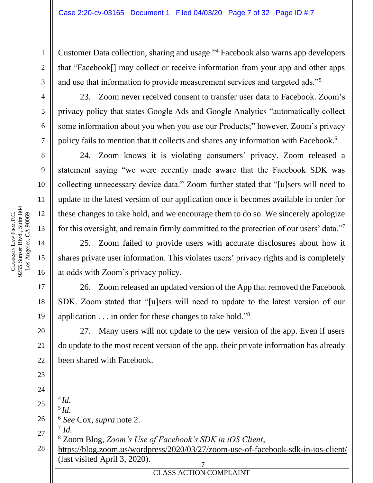Customer Data collection, sharing and usage." <sup>4</sup> Facebook also warns app developers that "Facebook[] may collect or receive information from your app and other apps and use that information to provide measurement services and targeted ads."<sup>5</sup>

23. Zoom never received consent to transfer user data to Facebook. Zoom's privacy policy that states Google Ads and Google Analytics "automatically collect some information about you when you use our Products;" however, Zoom's privacy policy fails to mention that it collects and shares any information with Facebook.<sup>6</sup>

24. Zoom knows it is violating consumers' privacy. Zoom released a statement saying "we were recently made aware that the Facebook SDK was collecting unnecessary device data." Zoom further stated that "[u]sers will need to update to the latest version of our application once it becomes available in order for these changes to take hold, and we encourage them to do so. We sincerely apologize for this oversight, and remain firmly committed to the protection of our users' data."<sup>7</sup>

25. Zoom failed to provide users with accurate disclosures about how it shares private user information. This violates users' privacy rights and is completely at odds with Zoom's privacy policy.

26. Zoom released an updated version of the App that removed the Facebook SDK. Zoom stated that "[u]sers will need to update to the latest version of our application . . . in order for these changes to take hold."<sup>8</sup>

27. Many users will not update to the new version of the app. Even if users do update to the most recent version of the app, their private information has already been shared with Facebook.

**ELASS ACTION COMPLAINT** 24 25 26 27 28 7 4 *Id.* 5 *Id.* <sup>6</sup> *See* Cox, *supra* note 2. 7 *Id.* <sup>8</sup> Zoom Blog, *Zoom's Use of Facebook's SDK in iOS Client*, https://blog.zoom.us/wordpress/2020/03/27/zoom-use-of-facebook-sdk-in-ios-client/ (last visited April 3, 2020).

1

2

3

4

5

6

7

8

9

10

11

12

13

14

15

16

17

18

19

20

21

22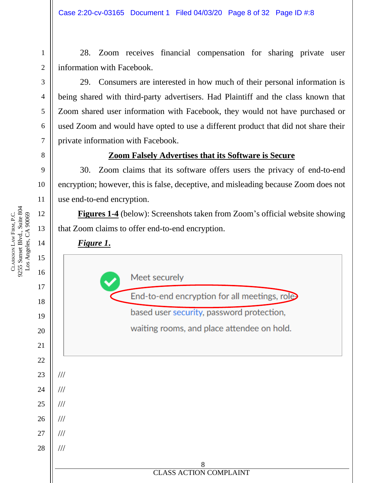28. Zoom receives financial compensation for sharing private user information with Facebook.

29. Consumers are interested in how much of their personal information is being shared with third-party advertisers. Had Plaintiff and the class known that Zoom shared user information with Facebook, they would not have purchased or used Zoom and would have opted to use a different product that did not share their private information with Facebook.

#### **Zoom Falsely Advertises that its Software is Secure**

30. Zoom claims that its software offers users the privacy of end-to-end encryption; however, this is false, deceptive, and misleading because Zoom does not use end-to-end encryption.

**Figures 1-4** (below): Screenshots taken from Zoom's official website showing that Zoom claims to offer end-to-end encryption.



9255 Sunset Blvd., Suite 804 Los Angeles, CA 90069 FIRM, P.C. Los Angeles, CA 90069 LAW CLARKSON

1

2

3

4

5

6

7

8

9

10

11

12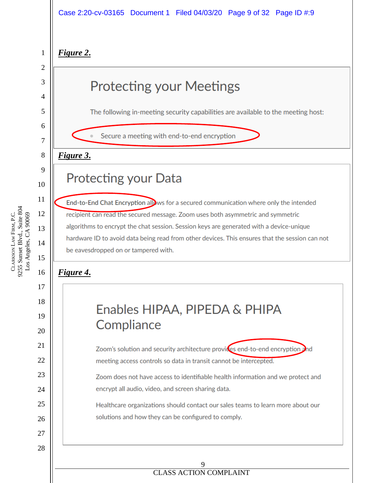#### Case 2:20-cv-03165 Document 1 Filed 04/03/20 Page 9 of 32 Page ID #:9

#### *Figure 2***.**

# **Protecting your Meetings**

The following in-meeting security capabilities are available to the meeting host:

Secure a meeting with end-to-end encryption

**Protecting your Data** 

#### *Figure 3***.**

#### 9 10

11

12

13

14

15

16

17

18

19

20

21

22

23

24

25

26

27

28

1

2

3

4

5

6

7

8

End-to-End Chat Encryption allows for a secured communication where only the intended recipient can read the secured message. Zoom uses both asymmetric and symmetric algorithms to encrypt the chat session. Session keys are generated with a device-unique hardware ID to avoid data being read from other devices. This ensures that the session can not be eavesdropped on or tampered with.

### *Figure 4***.**

# Enables HIPAA, PIPEDA & PHIPA Compliance

Zoom's solution and security architecture provices end-to-end encryption and meeting access controls so data in transit cannot be intercepted.

Zoom does not have access to identifiable health information and we protect and encrypt all audio, video, and screen sharing data.

Healthcare organizations should contact our sales teams to learn more about our solutions and how they can be configured to comply.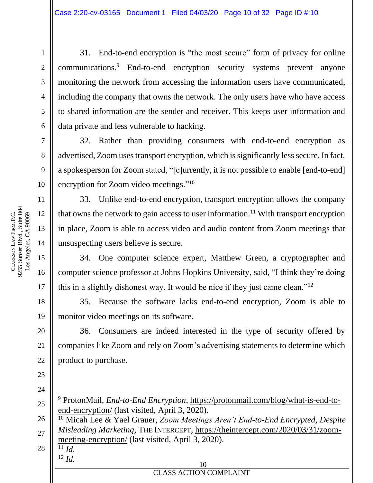31. End-to-end encryption is "the most secure" form of privacy for online communications. <sup>9</sup> End-to-end encryption security systems prevent anyone monitoring the network from accessing the information users have communicated, including the company that owns the network. The only users have who have access to shared information are the sender and receiver. This keeps user information and data private and less vulnerable to hacking.

32. Rather than providing consumers with end-to-end encryption as advertised, Zoom uses transport encryption, which is significantly less secure. In fact, a spokesperson for Zoom stated, "[c]urrently, it is not possible to enable [end-to-end] encryption for Zoom video meetings."<sup>10</sup>

33. Unlike end-to-end encryption, transport encryption allows the company that owns the network to gain access to user information.<sup>11</sup> With transport encryption in place, Zoom is able to access video and audio content from Zoom meetings that unsuspecting users believe is secure.

34. One computer science expert, Matthew Green, a cryptographer and computer science professor at Johns Hopkins University, said, "I think they're doing this in a slightly dishonest way. It would be nice if they just came clean."<sup>12</sup>

35. Because the software lacks end-to-end encryption, Zoom is able to monitor video meetings on its software.

36. Consumers are indeed interested in the type of security offered by companies like Zoom and rely on Zoom's advertising statements to determine which product to purchase.

- <sup>11</sup> *Id.*
- <sup>12</sup> *Id.*

1

2

3

4

5

6

7

8

9

10

11

12

13

14

15

16

17

18

19

20

21

22

23

24

<sup>9</sup> ProtonMail, *End-to-End Encryption*, https://protonmail.com/blog/what-is-end-toend-encryption/ (last visited, April 3, 2020).

<sup>26</sup> 27 28 <sup>10</sup> Micah Lee & Yael Grauer, *Zoom Meetings Aren't End-to-End Encrypted, Despite Misleading Marketing*, THE INTERCEPT, https://theintercept.com/2020/03/31/zoommeeting-encryption/ (last visited, April 3, 2020).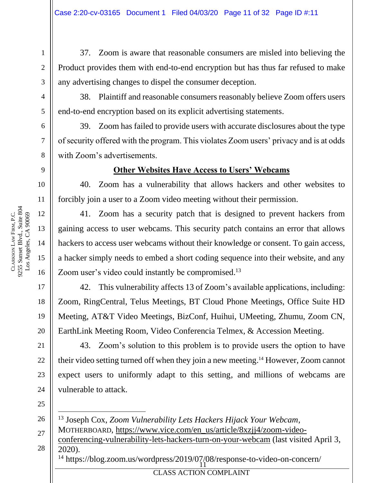37. Zoom is aware that reasonable consumers are misled into believing the Product provides them with end-to-end encryption but has thus far refused to make any advertising changes to dispel the consumer deception.

38. Plaintiff and reasonable consumers reasonably believe Zoom offers users end-to-end encryption based on its explicit advertising statements.

39. Zoom has failed to provide users with accurate disclosures about the type of security offered with the program. This violates Zoom users' privacy and is at odds with Zoom's advertisements.

#### **Other Websites Have Access to Users' Webcams**

40. Zoom has a vulnerability that allows hackers and other websites to forcibly join a user to a Zoom video meeting without their permission.

41. Zoom has a security patch that is designed to prevent hackers from gaining access to user webcams. This security patch contains an error that allows hackers to access user webcams without their knowledge or consent. To gain access, a hacker simply needs to embed a short coding sequence into their website, and any Zoom user's video could instantly be compromised.<sup>13</sup>

42. This vulnerability affects 13 of Zoom's available applications, including: Zoom, RingCentral, Telus Meetings, BT Cloud Phone Meetings, Office Suite HD Meeting, AT&T Video Meetings, BizConf, Huihui, UMeeting, Zhumu, Zoom CN, EarthLink Meeting Room, Video Conferencia Telmex, & Accession Meeting.

43. Zoom's solution to this problem is to provide users the option to have their video setting turned off when they join a new meeting. <sup>14</sup> However, Zoom cannot expect users to uniformly adapt to this setting, and millions of webcams are vulnerable to attack.

<sup>14</sup> https://blog.zoom.us/wordpress/2019/07/08/response-to-video-on-concern/ <sup>13</sup> Joseph Cox, *Zoom Vulnerability Lets Hackers Hijack Your Webcam*, MOTHERBOARD, https://www.vice.com/en\_us/article/8xzjj4/zoom-videoconferencing-vulnerability-lets-hackers-turn-on-your-webcam (last visited April 3, 2020).

**ELASS ACTION COMPLAINT** 

12 15 CLARKSON LAW FIRM, P.C. 9255 Sunset Blvd., Suite 804 Los Angeles, CA 90069

1

2

3

4

5

6

7

8

9

10

11

13

14

16

17

18

19

20

21

22

23

24

25

26

27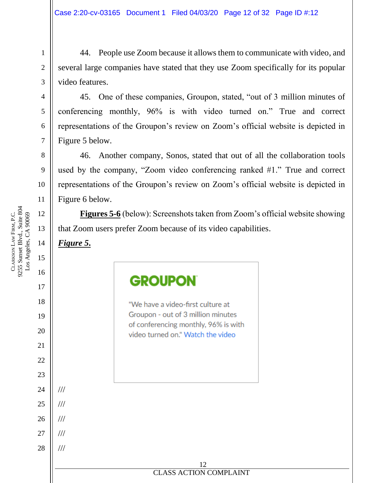44. People use Zoom because it allows them to communicate with video, and several large companies have stated that they use Zoom specifically for its popular video features.

45. One of these companies, Groupon, stated, "out of 3 million minutes of conferencing monthly, 96% is with video turned on." True and correct representations of the Groupon's review on Zoom's official website is depicted in Figure 5 below.

46. Another company, Sonos, stated that out of all the collaboration tools used by the company, "Zoom video conferencing ranked #1." True and correct representations of the Groupon's review on Zoom's official website is depicted in Figure 6 below.

**Figures 5-6** (below): Screenshots taken from Zoom's official website showing that Zoom users prefer Zoom because of its video capabilities.

9255 Sunset Blvd., Suite 804 Los Angeles, CA 90069 FIRM, P.C. Los Angeles, CA 90069 LAW CLARKSON

1

2

3

4

5

6

7

8

9

10

11

12

13 14 *Figure 5***.** 15 16 **GROUPON** 17 18 "We have a video-first culture at Groupon - out of 3 million minutes 19 of conferencing monthly, 96% is with 20 video turned on." Watch the video 21 22 23 24 /// 25 /// 26 /// 27 /// 28 /// 12 **ERROR DOCUMENT PROPERTY NAMED IN COMPLAINT**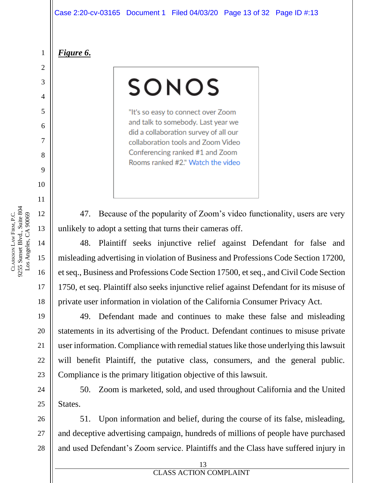*Figure 6***.**

1

2

3

4

5

6

7

8

9

10

11

12

13

14

# SONOS

"It's so easy to connect over Zoom and talk to somebody. Last year we did a collaboration survey of all our collaboration tools and Zoom Video Conferencing ranked #1 and Zoom Rooms ranked #2." Watch the video

47. Because of the popularity of Zoom's video functionality, users are very unlikely to adopt a setting that turns their cameras off.

48. Plaintiff seeks injunctive relief against Defendant for false and misleading advertising in violation of Business and Professions Code Section 17200, et seq., Business and Professions Code Section 17500, et seq., and Civil Code Section 1750, et seq. Plaintiff also seeks injunctive relief against Defendant for its misuse of private user information in violation of the California Consumer Privacy Act.

49. Defendant made and continues to make these false and misleading statements in its advertising of the Product. Defendant continues to misuse private user information. Compliance with remedial statues like those underlying this lawsuit will benefit Plaintiff, the putative class, consumers, and the general public. Compliance is the primary litigation objective of this lawsuit.

50. Zoom is marketed, sold, and used throughout California and the United States.

51. Upon information and belief, during the course of its false, misleading, and deceptive advertising campaign, hundreds of millions of people have purchased and used Defendant's Zoom service. Plaintiffs and the Class have suffered injury in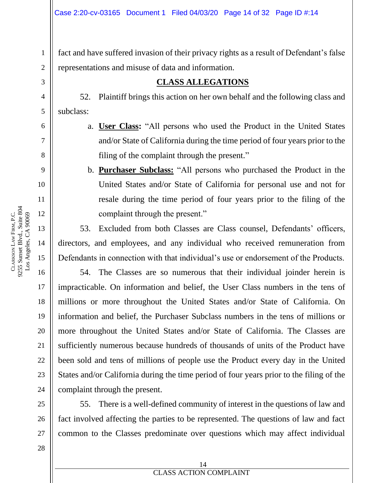fact and have suffered invasion of their privacy rights as a result of Defendant's false representations and misuse of data and information.

#### **CLASS ALLEGATIONS**

52. Plaintiff brings this action on her own behalf and the following class and subclass:

- a. **User Class:** "All persons who used the Product in the United States and/or State of California during the time period of four years prior to the filing of the complaint through the present."
	- b. **Purchaser Subclass:** "All persons who purchased the Product in the United States and/or State of California for personal use and not for resale during the time period of four years prior to the filing of the complaint through the present."

53. Excluded from both Classes are Class counsel, Defendants' officers, directors, and employees, and any individual who received remuneration from Defendants in connection with that individual's use or endorsement of the Products.

54. The Classes are so numerous that their individual joinder herein is impracticable. On information and belief, the User Class numbers in the tens of millions or more throughout the United States and/or State of California. On information and belief, the Purchaser Subclass numbers in the tens of millions or more throughout the United States and/or State of California. The Classes are sufficiently numerous because hundreds of thousands of units of the Product have been sold and tens of millions of people use the Product every day in the United States and/or California during the time period of four years prior to the filing of the complaint through the present.

55. There is a well-defined community of interest in the questions of law and fact involved affecting the parties to be represented. The questions of law and fact common to the Classes predominate over questions which may affect individual

1

2

3

4

5

6

7

8

9

10

11

13

14

16

17

18

19

20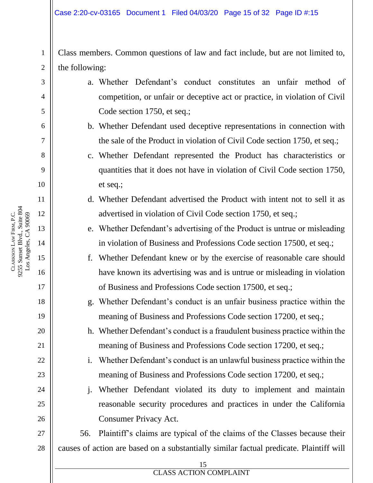Class members. Common questions of law and fact include, but are not limited to, the following:

- a. Whether Defendant's conduct constitutes an unfair method of competition, or unfair or deceptive act or practice, in violation of Civil Code section 1750, et seq.;
- b. Whether Defendant used deceptive representations in connection with the sale of the Product in violation of Civil Code section 1750, et seq.;
- c. Whether Defendant represented the Product has characteristics or quantities that it does not have in violation of Civil Code section 1750, et seq.;
- d. Whether Defendant advertised the Product with intent not to sell it as advertised in violation of Civil Code section 1750, et seq.;
- e. Whether Defendant's advertising of the Product is untrue or misleading in violation of Business and Professions Code section 17500, et seq.;
- f. Whether Defendant knew or by the exercise of reasonable care should have known its advertising was and is untrue or misleading in violation of Business and Professions Code section 17500, et seq.;

g. Whether Defendant's conduct is an unfair business practice within the meaning of Business and Professions Code section 17200, et seq.;

h. Whether Defendant's conduct is a fraudulent business practice within the meaning of Business and Professions Code section 17200, et seq.;

i. Whether Defendant's conduct is an unlawful business practice within the meaning of Business and Professions Code section 17200, et seq.;

j. Whether Defendant violated its duty to implement and maintain reasonable security procedures and practices in under the California Consumer Privacy Act.

27 28 56. Plaintiff's claims are typical of the claims of the Classes because their causes of action are based on a substantially similar factual predicate. Plaintiff will

1

2

3

4

5

6

7

8

9

10

11

12

13

14

15

16

17

18

19

20

21

22

23

24

25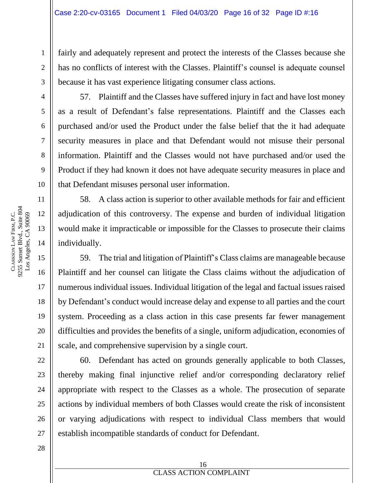fairly and adequately represent and protect the interests of the Classes because she has no conflicts of interest with the Classes. Plaintiff's counsel is adequate counsel because it has vast experience litigating consumer class actions.

57. Plaintiff and the Classes have suffered injury in fact and have lost money as a result of Defendant's false representations. Plaintiff and the Classes each purchased and/or used the Product under the false belief that the it had adequate security measures in place and that Defendant would not misuse their personal information. Plaintiff and the Classes would not have purchased and/or used the Product if they had known it does not have adequate security measures in place and that Defendant misuses personal user information.

58. A class action is superior to other available methods for fair and efficient adjudication of this controversy. The expense and burden of individual litigation would make it impracticable or impossible for the Classes to prosecute their claims individually.

59. The trial and litigation of Plaintiff's Class claims are manageable because Plaintiff and her counsel can litigate the Class claims without the adjudication of numerous individual issues. Individual litigation of the legal and factual issues raised by Defendant's conduct would increase delay and expense to all parties and the court system. Proceeding as a class action in this case presents far fewer management difficulties and provides the benefits of a single, uniform adjudication, economies of scale, and comprehensive supervision by a single court.

60. Defendant has acted on grounds generally applicable to both Classes, thereby making final injunctive relief and/or corresponding declaratory relief appropriate with respect to the Classes as a whole. The prosecution of separate actions by individual members of both Classes would create the risk of inconsistent or varying adjudications with respect to individual Class members that would establish incompatible standards of conduct for Defendant.

1

2

3

4

5

6

7

8

9

10

11

12

13

14

15

16

17

18

19

20

21

22

23

24

25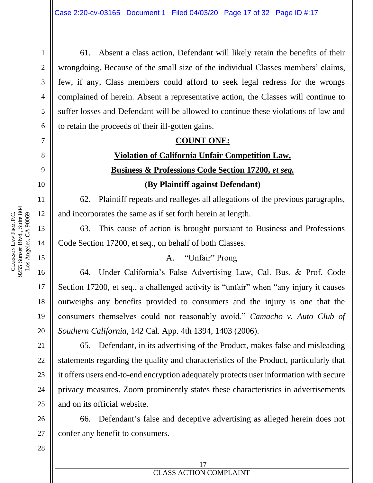61. Absent a class action, Defendant will likely retain the benefits of their wrongdoing. Because of the small size of the individual Classes members' claims, few, if any, Class members could afford to seek legal redress for the wrongs complained of herein. Absent a representative action, the Classes will continue to suffer losses and Defendant will be allowed to continue these violations of law and to retain the proceeds of their ill-gotten gains.

#### **COUNT ONE:**

# **Violation of California Unfair Competition Law, Business & Professions Code Section 17200,** *et seq.* **(By Plaintiff against Defendant)**

62. Plaintiff repeats and realleges all allegations of the previous paragraphs, and incorporates the same as if set forth herein at length.

63. This cause of action is brought pursuant to Business and Professions Code Section 17200, et seq., on behalf of both Classes.

#### A. "Unfair" Prong

64. Under California's False Advertising Law, Cal. Bus. & Prof. Code Section 17200, et seq., a challenged activity is "unfair" when "any injury it causes outweighs any benefits provided to consumers and the injury is one that the consumers themselves could not reasonably avoid." *Camacho v. Auto Club of Southern California*, 142 Cal. App. 4th 1394, 1403 (2006).

65. Defendant, in its advertising of the Product, makes false and misleading statements regarding the quality and characteristics of the Product, particularly that it offers users end-to-end encryption adequately protects user information with secure privacy measures. Zoom prominently states these characteristics in advertisements and on its official website.

66. Defendant's false and deceptive advertising as alleged herein does not confer any benefit to consumers.

1

2

3

4

5

6

7

8

9

10

13

14

16

17

18

19

20

21

22

23

24

25

26

27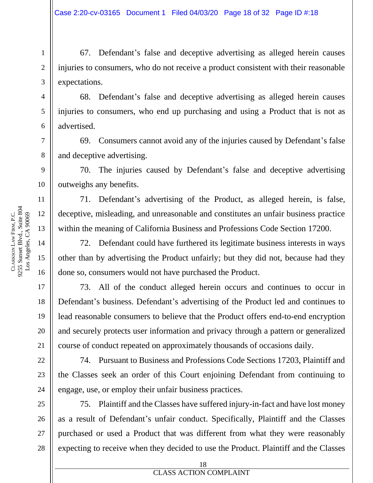67. Defendant's false and deceptive advertising as alleged herein causes injuries to consumers, who do not receive a product consistent with their reasonable expectations.

68. Defendant's false and deceptive advertising as alleged herein causes injuries to consumers, who end up purchasing and using a Product that is not as advertised.

69. Consumers cannot avoid any of the injuries caused by Defendant's false and deceptive advertising.

70. The injuries caused by Defendant's false and deceptive advertising outweighs any benefits.

71. Defendant's advertising of the Product, as alleged herein, is false, deceptive, misleading, and unreasonable and constitutes an unfair business practice within the meaning of California Business and Professions Code Section 17200.

72. Defendant could have furthered its legitimate business interests in ways other than by advertising the Product unfairly; but they did not, because had they done so, consumers would not have purchased the Product.

73. All of the conduct alleged herein occurs and continues to occur in Defendant's business. Defendant's advertising of the Product led and continues to lead reasonable consumers to believe that the Product offers end-to-end encryption and securely protects user information and privacy through a pattern or generalized course of conduct repeated on approximately thousands of occasions daily.

74. Pursuant to Business and Professions Code Sections 17203, Plaintiff and the Classes seek an order of this Court enjoining Defendant from continuing to engage, use, or employ their unfair business practices.

75. Plaintiff and the Classes have suffered injury-in-fact and have lost money as a result of Defendant's unfair conduct. Specifically, Plaintiff and the Classes purchased or used a Product that was different from what they were reasonably expecting to receive when they decided to use the Product. Plaintiff and the Classes

1

2

3

4

5

6

7

8

9

12

13

14

16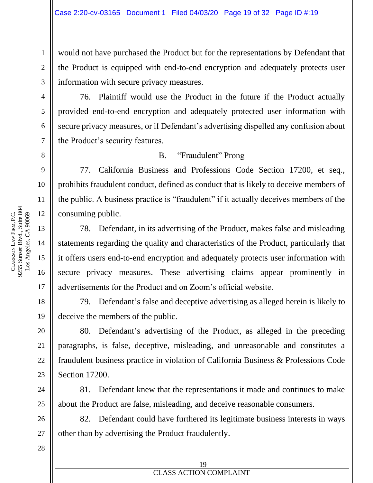would not have purchased the Product but for the representations by Defendant that the Product is equipped with end-to-end encryption and adequately protects user information with secure privacy measures.

76. Plaintiff would use the Product in the future if the Product actually provided end-to-end encryption and adequately protected user information with secure privacy measures, or if Defendant's advertising dispelled any confusion about the Product's security features.

#### B. "Fraudulent" Prong

77. California Business and Professions Code Section 17200, et seq., prohibits fraudulent conduct, defined as conduct that is likely to deceive members of the public. A business practice is "fraudulent" if it actually deceives members of the consuming public.

78. Defendant, in its advertising of the Product, makes false and misleading statements regarding the quality and characteristics of the Product, particularly that it offers users end-to-end encryption and adequately protects user information with secure privacy measures. These advertising claims appear prominently in advertisements for the Product and on Zoom's official website.

79. Defendant's false and deceptive advertising as alleged herein is likely to deceive the members of the public.

80. Defendant's advertising of the Product, as alleged in the preceding paragraphs, is false, deceptive, misleading, and unreasonable and constitutes a fraudulent business practice in violation of California Business & Professions Code Section 17200.

81. Defendant knew that the representations it made and continues to make about the Product are false, misleading, and deceive reasonable consumers.

82. Defendant could have furthered its legitimate business interests in ways other than by advertising the Product fraudulently.

1

2

3

4

5

6

7

8

9

10

11

12

13

14

15

16

17

18

19

20

21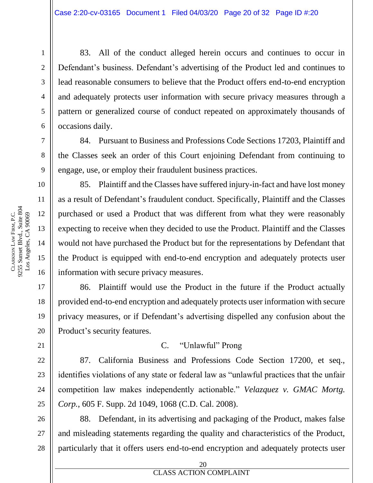83. All of the conduct alleged herein occurs and continues to occur in Defendant's business. Defendant's advertising of the Product led and continues to lead reasonable consumers to believe that the Product offers end-to-end encryption and adequately protects user information with secure privacy measures through a pattern or generalized course of conduct repeated on approximately thousands of occasions daily.

84. Pursuant to Business and Professions Code Sections 17203, Plaintiff and the Classes seek an order of this Court enjoining Defendant from continuing to engage, use, or employ their fraudulent business practices.

85. Plaintiff and the Classes have suffered injury-in-fact and have lost money as a result of Defendant's fraudulent conduct. Specifically, Plaintiff and the Classes purchased or used a Product that was different from what they were reasonably expecting to receive when they decided to use the Product. Plaintiff and the Classes would not have purchased the Product but for the representations by Defendant that the Product is equipped with end-to-end encryption and adequately protects user information with secure privacy measures.

86. Plaintiff would use the Product in the future if the Product actually provided end-to-end encryption and adequately protects user information with secure privacy measures, or if Defendant's advertising dispelled any confusion about the Product's security features.

#### C. "Unlawful" Prong

87. California Business and Professions Code Section 17200, et seq., identifies violations of any state or federal law as "unlawful practices that the unfair competition law makes independently actionable." *Velazquez v. GMAC Mortg. Corp.*, 605 F. Supp. 2d 1049, 1068 (C.D. Cal. 2008).

88. Defendant, in its advertising and packaging of the Product, makes false and misleading statements regarding the quality and characteristics of the Product, particularly that it offers users end-to-end encryption and adequately protects user

1

2

3

4

5

6

7

8

9

10

11

12

13

14

15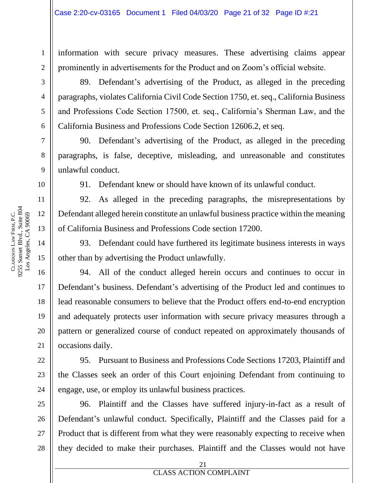information with secure privacy measures. These advertising claims appear prominently in advertisements for the Product and on Zoom's official website.

89. Defendant's advertising of the Product, as alleged in the preceding paragraphs, violates California Civil Code Section 1750, et. seq., California Business and Professions Code Section 17500, et. seq., California's Sherman Law, and the California Business and Professions Code Section 12606.2, et seq.

90. Defendant's advertising of the Product, as alleged in the preceding paragraphs, is false, deceptive, misleading, and unreasonable and constitutes unlawful conduct.

91. Defendant knew or should have known of its unlawful conduct.

92. As alleged in the preceding paragraphs, the misrepresentations by Defendant alleged herein constitute an unlawful business practice within the meaning of California Business and Professions Code section 17200.

93. Defendant could have furthered its legitimate business interests in ways other than by advertising the Product unlawfully.

94. All of the conduct alleged herein occurs and continues to occur in Defendant's business. Defendant's advertising of the Product led and continues to lead reasonable consumers to believe that the Product offers end-to-end encryption and adequately protects user information with secure privacy measures through a pattern or generalized course of conduct repeated on approximately thousands of occasions daily.

95. Pursuant to Business and Professions Code Sections 17203, Plaintiff and the Classes seek an order of this Court enjoining Defendant from continuing to engage, use, or employ its unlawful business practices.

96. Plaintiff and the Classes have suffered injury-in-fact as a result of Defendant's unlawful conduct. Specifically, Plaintiff and the Classes paid for a Product that is different from what they were reasonably expecting to receive when they decided to make their purchases. Plaintiff and the Classes would not have

1

2

3

4

5

6

7

8

9

10

11

12

13

14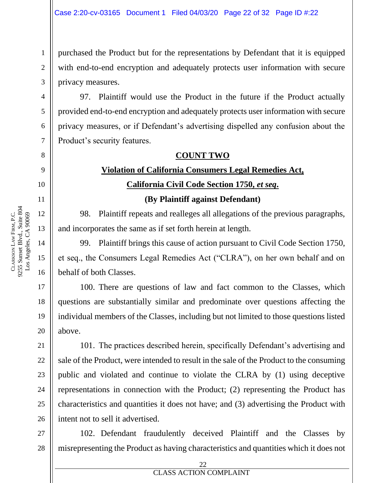purchased the Product but for the representations by Defendant that it is equipped with end-to-end encryption and adequately protects user information with secure privacy measures.

97. Plaintiff would use the Product in the future if the Product actually provided end-to-end encryption and adequately protects user information with secure privacy measures, or if Defendant's advertising dispelled any confusion about the Product's security features.

#### **COUNT TWO**

## **Violation of California Consumers Legal Remedies Act, California Civil Code Section 1750,** *et seq***.**

**(By Plaintiff against Defendant)**

98. Plaintiff repeats and realleges all allegations of the previous paragraphs, and incorporates the same as if set forth herein at length.

99. Plaintiff brings this cause of action pursuant to Civil Code Section 1750, et seq., the Consumers Legal Remedies Act ("CLRA"), on her own behalf and on behalf of both Classes.

100. There are questions of law and fact common to the Classes, which questions are substantially similar and predominate over questions affecting the individual members of the Classes, including but not limited to those questions listed above.

101. The practices described herein, specifically Defendant's advertising and sale of the Product, were intended to result in the sale of the Product to the consuming public and violated and continue to violate the CLRA by (1) using deceptive representations in connection with the Product; (2) representing the Product has characteristics and quantities it does not have; and (3) advertising the Product with intent not to sell it advertised.

27 28 102. Defendant fraudulently deceived Plaintiff and the Classes by misrepresenting the Product as having characteristics and quantities which it does not

CLARKSON

LAW

9255 Sunset Blvd., Suite 804

FIRM, P.C.

21

22

23

24

25

26

1

2

**ERROR DOCUMENT PROPERTY NAMED IN CLASS ACTION COMPLAINT** 22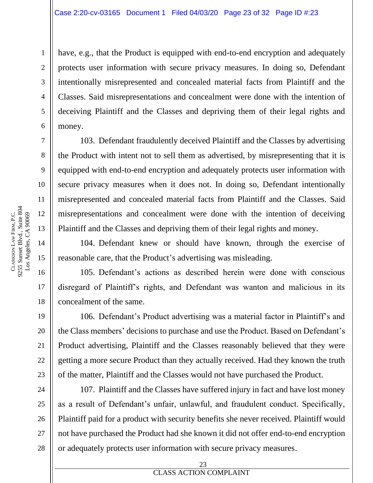have, e.g., that the Product is equipped with end-to-end encryption and adequately protects user information with secure privacy measures. In doing so, Defendant intentionally misrepresented and concealed material facts from Plaintiff and the Classes. Said misrepresentations and concealment were done with the intention of deceiving Plaintiff and the Classes and depriving them of their legal rights and money.

103. Defendant fraudulently deceived Plaintiff and the Classes by advertising the Product with intent not to sell them as advertised, by misrepresenting that it is equipped with end-to-end encryption and adequately protects user information with secure privacy measures when it does not. In doing so, Defendant intentionally misrepresented and concealed material facts from Plaintiff and the Classes. Said misrepresentations and concealment were done with the intention of deceiving Plaintiff and the Classes and depriving them of their legal rights and money.

104. Defendant knew or should have known, through the exercise of reasonable care, that the Product's advertising was misleading.

105. Defendant's actions as described herein were done with conscious disregard of Plaintiff's rights, and Defendant was wanton and malicious in its concealment of the same.

106. Defendant's Product advertising was a material factor in Plaintiff's and the Class members' decisions to purchase and use the Product. Based on Defendant's Product advertising, Plaintiff and the Classes reasonably believed that they were getting a more secure Product than they actually received. Had they known the truth of the matter, Plaintiff and the Classes would not have purchased the Product.

107. Plaintiff and the Classes have suffered injury in fact and have lost money as a result of Defendant's unfair, unlawful, and fraudulent conduct. Specifically, Plaintiff paid for a product with security benefits she never received. Plaintiff would not have purchased the Product had she known it did not offer end-to-end encryption or adequately protects user information with secure privacy measures.

1

2

3

4

5

6

7

8

9

10

11

12

13

14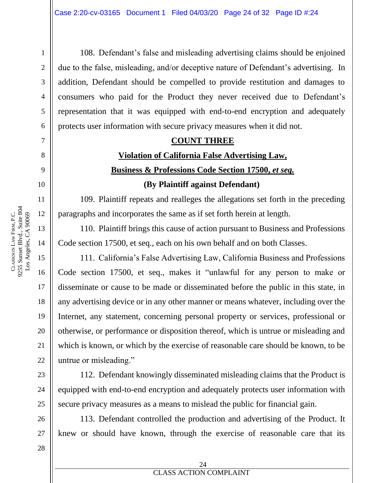108. Defendant's false and misleading advertising claims should be enjoined due to the false, misleading, and/or deceptive nature of Defendant's advertising. In addition, Defendant should be compelled to provide restitution and damages to consumers who paid for the Product they never received due to Defendant's representation that it was equipped with end-to-end encryption and adequately protects user information with secure privacy measures when it did not.

#### **COUNT THREE**

# **Violation of California False Advertising Law, Business & Professions Code Section 17500,** *et seq.* **(By Plaintiff against Defendant)**

109. Plaintiff repeats and realleges the allegations set forth in the preceding paragraphs and incorporates the same as if set forth herein at length.

110. Plaintiff brings this cause of action pursuant to Business and Professions Code section 17500, et seq., each on his own behalf and on both Classes.

111. California's False Advertising Law, California Business and Professions Code section 17500, et seq., makes it "unlawful for any person to make or disseminate or cause to be made or disseminated before the public in this state, in any advertising device or in any other manner or means whatever, including over the Internet, any statement, concerning personal property or services, professional or otherwise, or performance or disposition thereof, which is untrue or misleading and which is known, or which by the exercise of reasonable care should be known, to be untrue or misleading."

112. Defendant knowingly disseminated misleading claims that the Product is equipped with end-to-end encryption and adequately protects user information with secure privacy measures as a means to mislead the public for financial gain.

113. Defendant controlled the production and advertising of the Product. It knew or should have known, through the exercise of reasonable care that its

1

2

3

4

5

6

7

8

9

10

11

12

13

14

15

16

17

18

19

20

21

22

23

24

25

26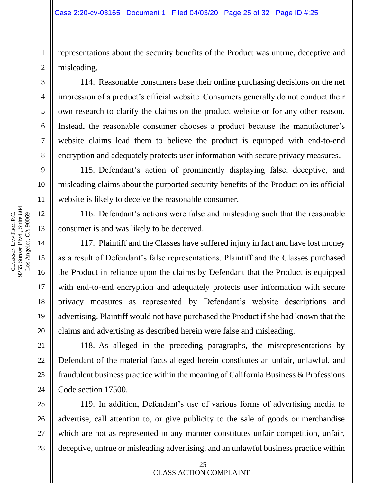representations about the security benefits of the Product was untrue, deceptive and misleading.

114. Reasonable consumers base their online purchasing decisions on the net impression of a product's official website. Consumers generally do not conduct their own research to clarify the claims on the product website or for any other reason. Instead, the reasonable consumer chooses a product because the manufacturer's website claims lead them to believe the product is equipped with end-to-end encryption and adequately protects user information with secure privacy measures.

115. Defendant's action of prominently displaying false, deceptive, and misleading claims about the purported security benefits of the Product on its official website is likely to deceive the reasonable consumer.

116. Defendant's actions were false and misleading such that the reasonable consumer is and was likely to be deceived.

117. Plaintiff and the Classes have suffered injury in fact and have lost money as a result of Defendant's false representations. Plaintiff and the Classes purchased the Product in reliance upon the claims by Defendant that the Product is equipped with end-to-end encryption and adequately protects user information with secure privacy measures as represented by Defendant's website descriptions and advertising. Plaintiff would not have purchased the Product if she had known that the claims and advertising as described herein were false and misleading.

118. As alleged in the preceding paragraphs, the misrepresentations by Defendant of the material facts alleged herein constitutes an unfair, unlawful, and fraudulent business practice within the meaning of California Business & Professions Code section 17500.

119. In addition, Defendant's use of various forms of advertising media to advertise, call attention to, or give publicity to the sale of goods or merchandise which are not as represented in any manner constitutes unfair competition, unfair, deceptive, untrue or misleading advertising, and an unlawful business practice within

1

2

3

4

5

6

7

8

9

10

11

12

13

14

15

16

17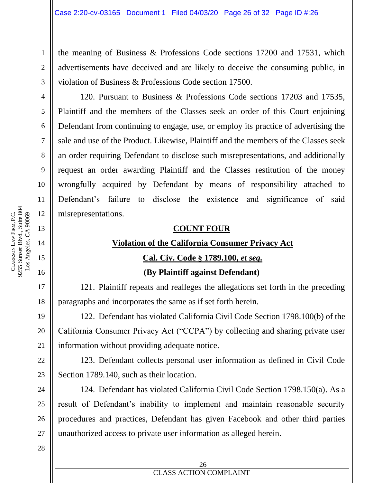the meaning of Business & Professions Code sections 17200 and 17531, which advertisements have deceived and are likely to deceive the consuming public, in violation of Business & Professions Code section 17500.

120. Pursuant to Business & Professions Code sections 17203 and 17535, Plaintiff and the members of the Classes seek an order of this Court enjoining Defendant from continuing to engage, use, or employ its practice of advertising the sale and use of the Product. Likewise, Plaintiff and the members of the Classes seek an order requiring Defendant to disclose such misrepresentations, and additionally request an order awarding Plaintiff and the Classes restitution of the money wrongfully acquired by Defendant by means of responsibility attached to Defendant's failure to disclose the existence and significance of said misrepresentations.

#### **COUNT FOUR**

#### **Violation of the California Consumer Privacy Act**

#### **Cal. Civ. Code § 1789.100,** *et seq.*

#### **(By Plaintiff against Defendant)**

121. Plaintiff repeats and realleges the allegations set forth in the preceding paragraphs and incorporates the same as if set forth herein.

122. Defendant has violated California Civil Code Section 1798.100(b) of the California Consumer Privacy Act ("CCPA") by collecting and sharing private user information without providing adequate notice.

123. Defendant collects personal user information as defined in Civil Code Section 1789.140, such as their location.

124. Defendant has violated California Civil Code Section 1798.150(a). As a result of Defendant's inability to implement and maintain reasonable security procedures and practices, Defendant has given Facebook and other third parties unauthorized access to private user information as alleged herein.

28

9255 Sunset Blvd., Suite 804 Los Angeles, CA 90069 FIRM, P.C. Los Angeles, CA 90069 LAW CLARKSON

1

2

3

4

5

6

7

8

9

10

11

12

13

14

15

16

17

18

19

20

21

22

23

24

25

26

27

#### **EDECITE PROPERTY NAMED IN COMPLETE PROPERTY** 26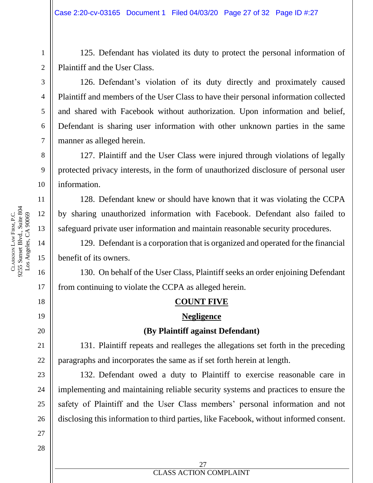125. Defendant has violated its duty to protect the personal information of Plaintiff and the User Class.

126. Defendant's violation of its duty directly and proximately caused Plaintiff and members of the User Class to have their personal information collected and shared with Facebook without authorization. Upon information and belief, Defendant is sharing user information with other unknown parties in the same manner as alleged herein.

127. Plaintiff and the User Class were injured through violations of legally protected privacy interests, in the form of unauthorized disclosure of personal user information.

128. Defendant knew or should have known that it was violating the CCPA by sharing unauthorized information with Facebook. Defendant also failed to safeguard private user information and maintain reasonable security procedures.

129. Defendant is a corporation that is organized and operated for the financial benefit of its owners.

130. On behalf of the User Class, Plaintiff seeks an order enjoining Defendant from continuing to violate the CCPA as alleged herein.

#### **COUNT FIVE**

#### **Negligence**

#### **(By Plaintiff against Defendant)**

131. Plaintiff repeats and realleges the allegations set forth in the preceding paragraphs and incorporates the same as if set forth herein at length.

132. Defendant owed a duty to Plaintiff to exercise reasonable care in implementing and maintaining reliable security systems and practices to ensure the safety of Plaintiff and the User Class members' personal information and not disclosing this information to third parties, like Facebook, without informed consent.

1

2

3

4

5

6

7

8

9

10

11

17

18

19

20

21

22

23

24

25

26

27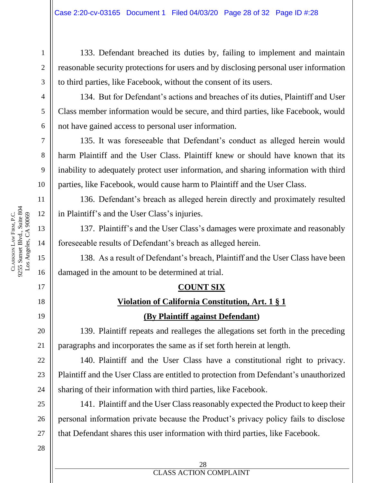133. Defendant breached its duties by, failing to implement and maintain reasonable security protections for users and by disclosing personal user information to third parties, like Facebook, without the consent of its users.

134. But for Defendant's actions and breaches of its duties, Plaintiff and User Class member information would be secure, and third parties, like Facebook, would not have gained access to personal user information.

135. It was foreseeable that Defendant's conduct as alleged herein would harm Plaintiff and the User Class. Plaintiff knew or should have known that its inability to adequately protect user information, and sharing information with third parties, like Facebook, would cause harm to Plaintiff and the User Class.

136. Defendant's breach as alleged herein directly and proximately resulted in Plaintiff's and the User Class's injuries.

137. Plaintiff's and the User Class's damages were proximate and reasonably foreseeable results of Defendant's breach as alleged herein.

138. As a result of Defendant's breach, Plaintiff and the User Class have been damaged in the amount to be determined at trial.

#### **COUNT SIX**

## **Violation of California Constitution, Art. 1 § 1 (By Plaintiff against Defendant)**

139. Plaintiff repeats and realleges the allegations set forth in the preceding paragraphs and incorporates the same as if set forth herein at length.

140. Plaintiff and the User Class have a constitutional right to privacy. Plaintiff and the User Class are entitled to protection from Defendant's unauthorized sharing of their information with third parties, like Facebook.

141. Plaintiff and the User Class reasonably expected the Product to keep their personal information private because the Product's privacy policy fails to disclose that Defendant shares this user information with third parties, like Facebook.

28

9255 Sunset Blvd., Suite 804 12 Los Angeles, CA 90069 FIRM, P.C. Los Angeles, CA 90069 LAW CLARKSON 15

1

2

3

4

5

6

7

8

9

10

11

13

14

16

17

18

19

20

21

22

23

24

25

26

27

#### **EDECITE PROPERTY NAMED IN COMPLETE PROPERTY** 28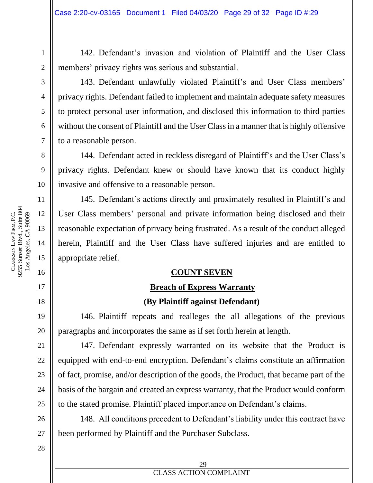142. Defendant's invasion and violation of Plaintiff and the User Class members' privacy rights was serious and substantial.

1

2

3

4

5

6

7

8

9

10

11

12

13

14

15

16

17

18

143. Defendant unlawfully violated Plaintiff's and User Class members' privacy rights. Defendant failed to implement and maintain adequate safety measures to protect personal user information, and disclosed this information to third parties without the consent of Plaintiff and the User Class in a manner that is highly offensive to a reasonable person.

144. Defendant acted in reckless disregard of Plaintiff's and the User Class's privacy rights. Defendant knew or should have known that its conduct highly invasive and offensive to a reasonable person.

145. Defendant's actions directly and proximately resulted in Plaintiff's and User Class members' personal and private information being disclosed and their reasonable expectation of privacy being frustrated. As a result of the conduct alleged herein, Plaintiff and the User Class have suffered injuries and are entitled to appropriate relief.

#### **COUNT SEVEN**

#### **Breach of Express Warranty**

#### **(By Plaintiff against Defendant)**

146. Plaintiff repeats and realleges the all allegations of the previous paragraphs and incorporates the same as if set forth herein at length.

147. Defendant expressly warranted on its website that the Product is equipped with end-to-end encryption. Defendant's claims constitute an affirmation of fact, promise, and/or description of the goods, the Product, that became part of the basis of the bargain and created an express warranty, that the Product would conform to the stated promise. Plaintiff placed importance on Defendant's claims.

148. All conditions precedent to Defendant's liability under this contract have been performed by Plaintiff and the Purchaser Subclass.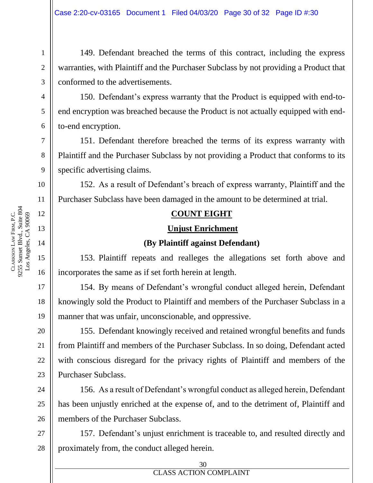149. Defendant breached the terms of this contract, including the express warranties, with Plaintiff and the Purchaser Subclass by not providing a Product that conformed to the advertisements.

150. Defendant's express warranty that the Product is equipped with end-toend encryption was breached because the Product is not actually equipped with endto-end encryption.

151. Defendant therefore breached the terms of its express warranty with Plaintiff and the Purchaser Subclass by not providing a Product that conforms to its specific advertising claims.

152. As a result of Defendant's breach of express warranty, Plaintiff and the Purchaser Subclass have been damaged in the amount to be determined at trial.

#### **COUNT EIGHT**

#### **Unjust Enrichment**

#### **(By Plaintiff against Defendant)**

153. Plaintiff repeats and realleges the allegations set forth above and incorporates the same as if set forth herein at length.

154. By means of Defendant's wrongful conduct alleged herein, Defendant knowingly sold the Product to Plaintiff and members of the Purchaser Subclass in a manner that was unfair, unconscionable, and oppressive.

155. Defendant knowingly received and retained wrongful benefits and funds from Plaintiff and members of the Purchaser Subclass. In so doing, Defendant acted with conscious disregard for the privacy rights of Plaintiff and members of the Purchaser Subclass.

156. As a result of Defendant's wrongful conduct as alleged herein, Defendant has been unjustly enriched at the expense of, and to the detriment of, Plaintiff and members of the Purchaser Subclass.

27 28 157. Defendant's unjust enrichment is traceable to, and resulted directly and proximately from, the conduct alleged herein.

1

2

3

4

5

6

7

8

9

10

11

12

13

14

15

16

17

18

19

20

21

22

23

24

25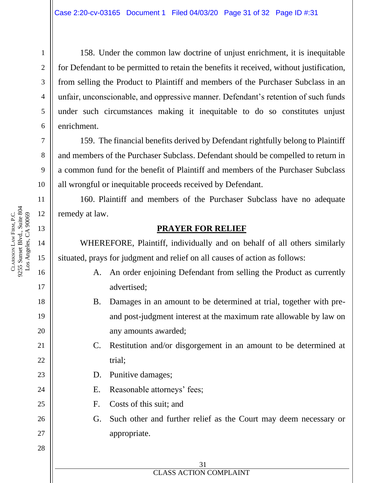158. Under the common law doctrine of unjust enrichment, it is inequitable for Defendant to be permitted to retain the benefits it received, without justification, from selling the Product to Plaintiff and members of the Purchaser Subclass in an unfair, unconscionable, and oppressive manner. Defendant's retention of such funds under such circumstances making it inequitable to do so constitutes unjust enrichment.

159. The financial benefits derived by Defendant rightfully belong to Plaintiff and members of the Purchaser Subclass. Defendant should be compelled to return in a common fund for the benefit of Plaintiff and members of the Purchaser Subclass all wrongful or inequitable proceeds received by Defendant.

160. Plaintiff and members of the Purchaser Subclass have no adequate remedy at law.

#### **PRAYER FOR RELIEF**

WHEREFORE, Plaintiff, individually and on behalf of all others similarly situated, prays for judgment and relief on all causes of action as follows:

- A. An order enjoining Defendant from selling the Product as currently advertised;
- B. Damages in an amount to be determined at trial, together with preand post-judgment interest at the maximum rate allowable by law on any amounts awarded;
- C. Restitution and/or disgorgement in an amount to be determined at trial;
- D. Punitive damages;
- E. Reasonable attorneys' fees;
- F. Costs of this suit; and
- G. Such other and further relief as the Court may deem necessary or appropriate.

31

# **EXECUTES ACTION COMPLAINT**

9255 Sunset Blvd., Suite 804 Los Angeles, CA 90069 FIRM, P.C. Los Angeles, CA 90069 LAW CLARKSON

1

2

3

4

5

6

7

8

9

10

11

12

13

14

15

16

17

18

19

20

21

22

23

24

25

26

27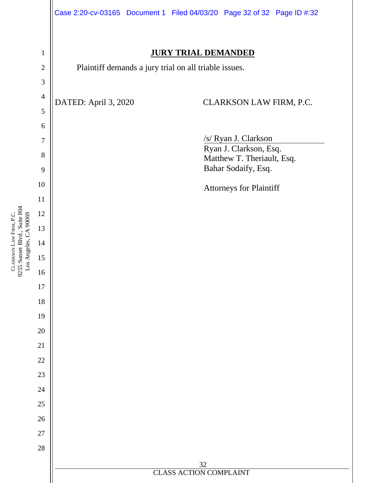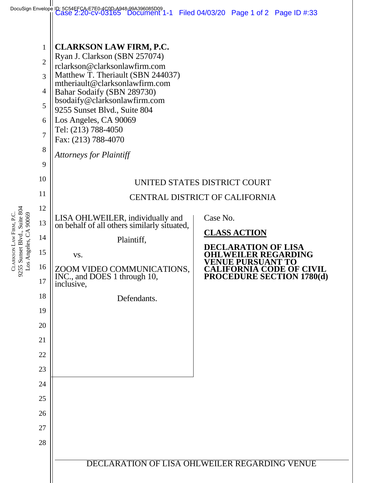